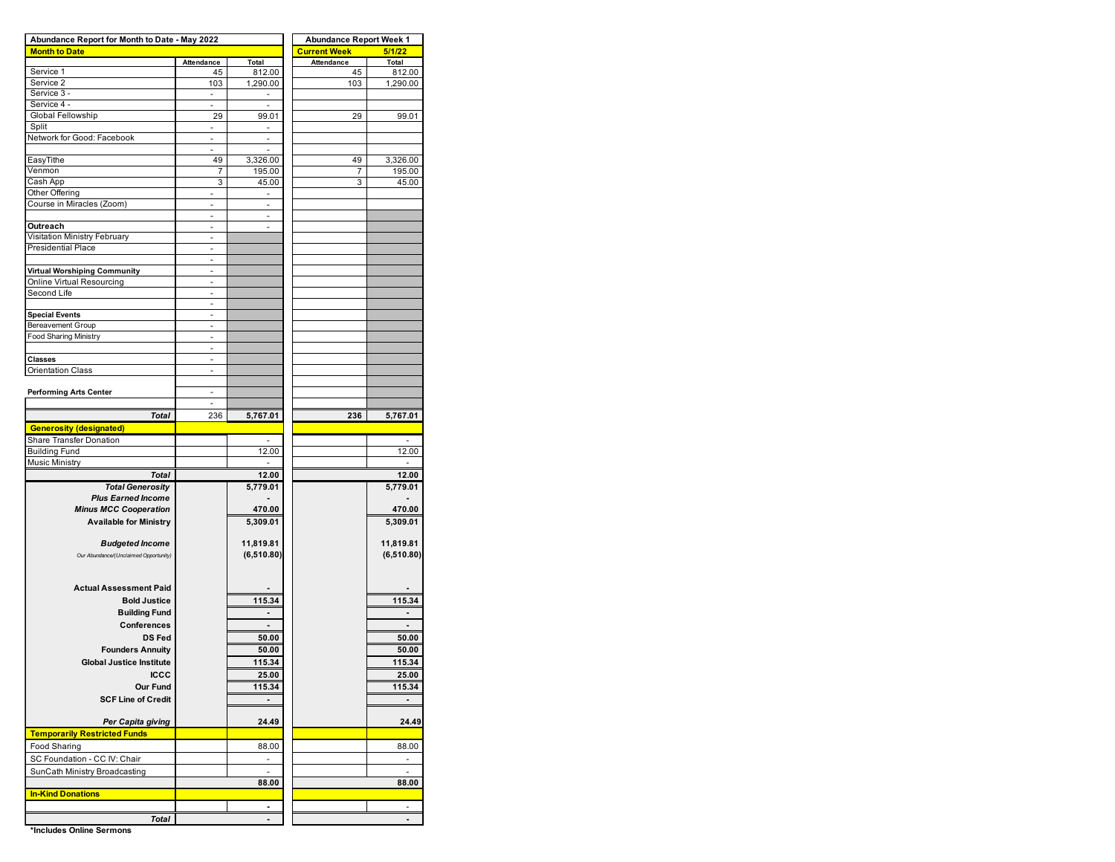| Abundance Report for Month to Date - May 2022 |                          |                          | <b>Abundance Report Week 1</b> |                          |  |  |  |  |  |  |  |
|-----------------------------------------------|--------------------------|--------------------------|--------------------------------|--------------------------|--|--|--|--|--|--|--|
| <b>Month to Date</b>                          |                          |                          | <b>Current Week</b>            | 5/1/22                   |  |  |  |  |  |  |  |
|                                               | Attendance               | Total                    | Attendance                     | Total                    |  |  |  |  |  |  |  |
| Service 1                                     | 45                       | 812.00                   | 45                             | 812.00                   |  |  |  |  |  |  |  |
| Service 2                                     | 103                      | 1,290.00                 | 103                            | 1,290.00                 |  |  |  |  |  |  |  |
| Service 3 -                                   | $\sim$                   | $\overline{\phantom{a}}$ |                                |                          |  |  |  |  |  |  |  |
| Service 4 -<br>Global Fellowship              | 29                       |                          |                                |                          |  |  |  |  |  |  |  |
| Split                                         |                          | 99.01                    | 29                             | 99.01                    |  |  |  |  |  |  |  |
| Network for Good: Facebook                    | ä,                       | ÷.                       |                                |                          |  |  |  |  |  |  |  |
|                                               | $\overline{\phantom{a}}$ | $\overline{\phantom{a}}$ |                                |                          |  |  |  |  |  |  |  |
| EasyTithe                                     | 49                       | 3,326.00                 | 49                             | 3,326.00                 |  |  |  |  |  |  |  |
| Venmon                                        | 7                        | 195.00                   | 7                              | 195.00                   |  |  |  |  |  |  |  |
| Cash App                                      | 3                        | 45.00                    | 3                              | 45.00                    |  |  |  |  |  |  |  |
| Other Offering                                | ä,                       |                          |                                |                          |  |  |  |  |  |  |  |
| Course in Miracles (Zoom)                     | ٠                        | $\overline{\phantom{a}}$ |                                |                          |  |  |  |  |  |  |  |
|                                               |                          |                          |                                |                          |  |  |  |  |  |  |  |
| Outreach                                      |                          | ÷,                       |                                |                          |  |  |  |  |  |  |  |
| Visitation Ministry February                  | ÷,                       |                          |                                |                          |  |  |  |  |  |  |  |
| <b>Presidential Place</b>                     |                          |                          |                                |                          |  |  |  |  |  |  |  |
|                                               | ÷,                       |                          |                                |                          |  |  |  |  |  |  |  |
| <b>Virtual Worshiping Community</b>           |                          |                          |                                |                          |  |  |  |  |  |  |  |
| Online Virtual Resourcing                     | L,                       |                          |                                |                          |  |  |  |  |  |  |  |
| Second Life                                   | $\overline{\phantom{m}}$ |                          |                                |                          |  |  |  |  |  |  |  |
|                                               | ä,                       |                          |                                |                          |  |  |  |  |  |  |  |
| <b>Special Events</b>                         | ä,                       |                          |                                |                          |  |  |  |  |  |  |  |
| <b>Bereavement Group</b>                      |                          |                          |                                |                          |  |  |  |  |  |  |  |
| <b>Food Sharing Ministry</b>                  | ä,                       |                          |                                |                          |  |  |  |  |  |  |  |
|                                               | ٠                        |                          |                                |                          |  |  |  |  |  |  |  |
| <b>Classes</b>                                |                          |                          |                                |                          |  |  |  |  |  |  |  |
| <b>Orientation Class</b>                      |                          |                          |                                |                          |  |  |  |  |  |  |  |
|                                               | ä,                       |                          |                                |                          |  |  |  |  |  |  |  |
| <b>Performing Arts Center</b>                 | ä,                       |                          |                                |                          |  |  |  |  |  |  |  |
| <b>Total</b>                                  | 236                      | 5,767.01                 | 236                            | 5,767.01                 |  |  |  |  |  |  |  |
| <b>Generosity (designated)</b>                |                          |                          |                                |                          |  |  |  |  |  |  |  |
| Share Transfer Donation                       |                          |                          |                                | $\overline{\phantom{a}}$ |  |  |  |  |  |  |  |
| <b>Building Fund</b>                          |                          | 12.00                    |                                | 12.00                    |  |  |  |  |  |  |  |
| <b>Music Ministry</b>                         |                          |                          |                                |                          |  |  |  |  |  |  |  |
| <b>Total</b>                                  |                          | 12.00                    |                                | 12.00                    |  |  |  |  |  |  |  |
| <b>Total Generosity</b>                       |                          | 5,779.01                 |                                | 5,779.01                 |  |  |  |  |  |  |  |
| <b>Plus Earned Income</b>                     |                          |                          |                                |                          |  |  |  |  |  |  |  |
| <b>Minus MCC Cooperation</b>                  |                          | 470.00                   |                                | 470.00                   |  |  |  |  |  |  |  |
| <b>Available for Ministry</b>                 |                          | 5,309.01                 |                                | 5,309.01                 |  |  |  |  |  |  |  |
|                                               |                          |                          |                                |                          |  |  |  |  |  |  |  |
| <b>Budgeted Income</b>                        |                          | 11,819.81                |                                | 11,819.81                |  |  |  |  |  |  |  |
| Our Abundance/(Unclaimed Opportunity)         |                          | (6,510.80)               |                                | (6,510.80)               |  |  |  |  |  |  |  |
|                                               |                          |                          |                                |                          |  |  |  |  |  |  |  |
|                                               |                          |                          |                                |                          |  |  |  |  |  |  |  |
| <b>Actual Assessment Paid</b>                 |                          |                          |                                |                          |  |  |  |  |  |  |  |
| <b>Bold Justice</b>                           |                          | 115.34                   |                                | 115.34                   |  |  |  |  |  |  |  |
| <b>Building Fund</b>                          |                          |                          |                                |                          |  |  |  |  |  |  |  |
| <b>Conferences</b>                            |                          |                          |                                |                          |  |  |  |  |  |  |  |
| <b>DS Fed</b>                                 |                          | 50.00                    |                                | 50.00                    |  |  |  |  |  |  |  |
|                                               |                          |                          |                                |                          |  |  |  |  |  |  |  |
| <b>Founders Annuity</b>                       |                          | 50.00                    |                                | 50.00                    |  |  |  |  |  |  |  |
| <b>Global Justice Institute</b>               |                          | 115.34                   |                                | 115.34                   |  |  |  |  |  |  |  |
| <b>ICCC</b>                                   |                          | 25.00                    |                                | 25.00                    |  |  |  |  |  |  |  |
| <b>Our Fund</b>                               |                          | 115.34                   |                                | 115.34                   |  |  |  |  |  |  |  |
| <b>SCF Line of Credit</b>                     |                          |                          |                                |                          |  |  |  |  |  |  |  |
|                                               |                          |                          |                                |                          |  |  |  |  |  |  |  |
| Per Capita giving                             |                          | 24.49                    |                                | 24.49                    |  |  |  |  |  |  |  |
| <b>Temporarily Restricted Funds</b>           |                          |                          |                                |                          |  |  |  |  |  |  |  |
| Food Sharing                                  |                          | 88.00                    |                                | 88.00                    |  |  |  |  |  |  |  |
| SC Foundation - CC IV: Chair                  |                          |                          |                                |                          |  |  |  |  |  |  |  |
| SunCath Ministry Broadcasting                 |                          | ä,                       |                                | $\blacksquare$           |  |  |  |  |  |  |  |
|                                               |                          | 88.00                    |                                | 88.00                    |  |  |  |  |  |  |  |
| <b>In-Kind Donations</b>                      |                          |                          |                                |                          |  |  |  |  |  |  |  |
|                                               |                          | Ĭ.                       |                                |                          |  |  |  |  |  |  |  |
| <b>Total</b>                                  |                          | $\overline{a}$           |                                |                          |  |  |  |  |  |  |  |

**\*Includes Online Sermons**